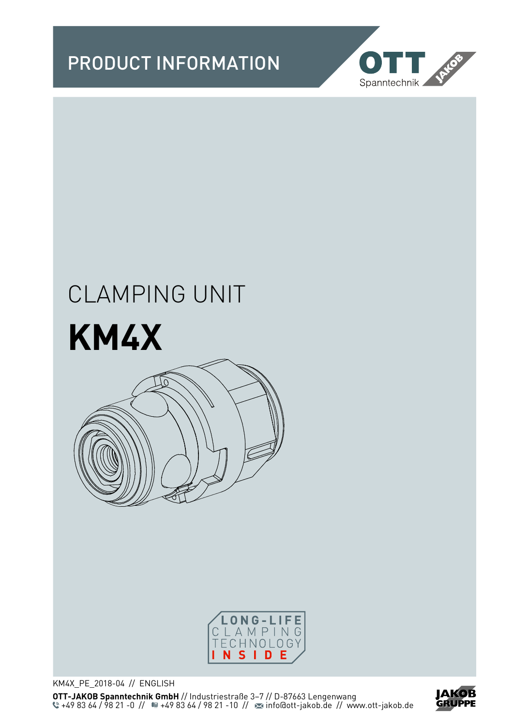



# CLAMPING UNIT







KM4X\_PE\_2018-04 // ENGLISH **OTT-JAKOB Spanntechnik GmbH** // Industriestraße 3–7 // D-87663 Lengenwang +49 83 64 / 98 21 -0 // <sup>11</sup> · 49 83 64 / 98 21 -10 // <sup>22</sup> info@ott-jakob.de // www.ott-jakob.de

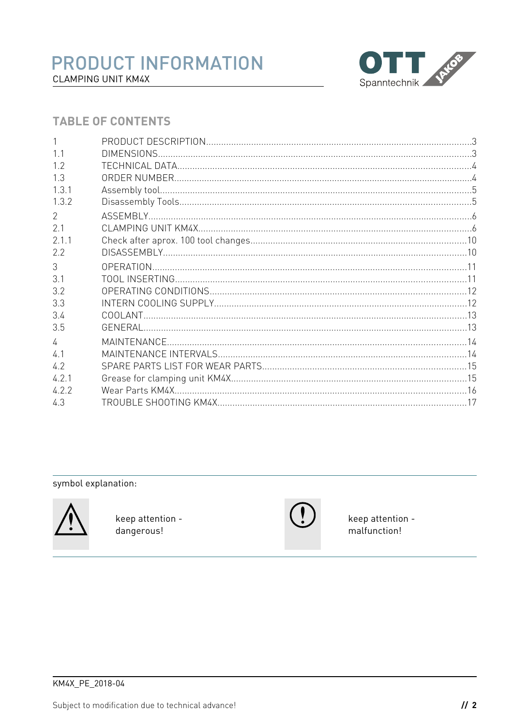

#### **TABLE OF CONTENTS**

symbol explanation:



keep attention dangerous!



keep attention malfunction!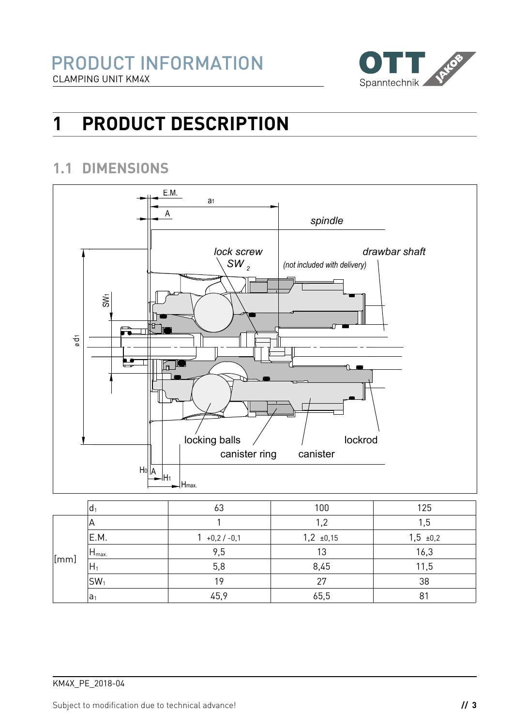

# **1 PRODUCT DESCRIPTION**

#### **1.1 DIMENSIONS**



|                | d <sub>1</sub>   | 63               | 100            | 125           |
|----------------|------------------|------------------|----------------|---------------|
|                | ΙA               |                  | 1,2            | 1,5           |
|                | E.M.             | $1 + 0.2 / -0.1$ | $1,2 \pm 0,15$ | $1,5 \pm 0,2$ |
|                | $H_{\text{max}}$ | 9,5              | 13             | 16,3          |
| $\lfloor$ [mm] | $H_1$            | 5,8              | 8,45           | 11,5          |
|                | $ SW_1$          | 19               | 27             | 38            |
|                | a <sub>1</sub>   | 45,9             | 65,5           | 81            |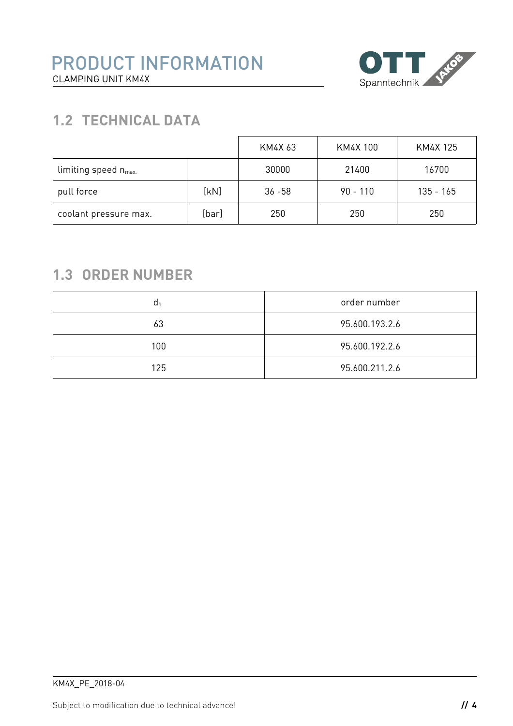

## **1.2 TECHNICAL DATA**

|                                 |       | KM4X 63   | KM4X 100   | KM4X 125    |
|---------------------------------|-------|-----------|------------|-------------|
| limiting speed $n_{\text{max}}$ |       | 30000     | 21400      | 16700       |
| pull force                      | [kN]  | $36 - 58$ | $90 - 110$ | $135 - 165$ |
| coolant pressure max.           | [bar] | 250       | 250        | 250         |

## **1.3 ORDER NUMBER**

| d <sub>1</sub> | order number   |
|----------------|----------------|
| 63             | 95.600.193.2.6 |
| 100            | 95.600.192.2.6 |
| 125            | 95.600.211.2.6 |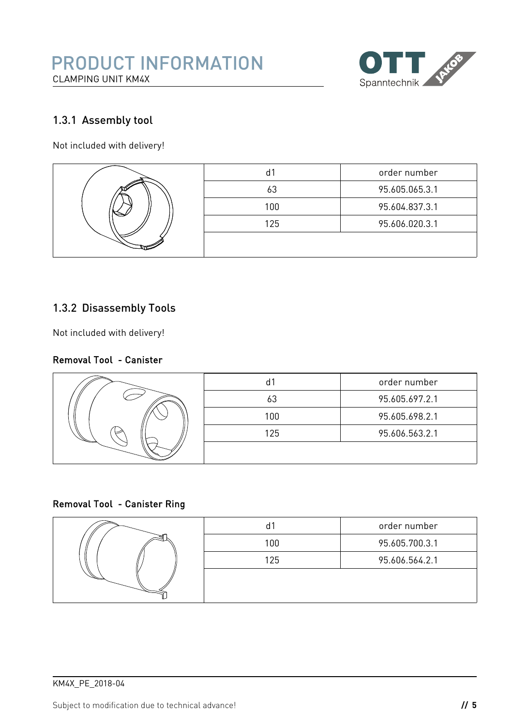

#### <span id="page-4-0"></span>1.3.1 Assembly tool

Not included with delivery!



#### <span id="page-4-1"></span>1.3.2 Disassembly Tools

Not included with delivery!

#### Removal Tool - Canister



#### Removal Tool - Canister Ring



| d1  | order number   |
|-----|----------------|
| 100 | 95.605.700.3.1 |
| 125 | 95.606.564.2.1 |
|     |                |
|     |                |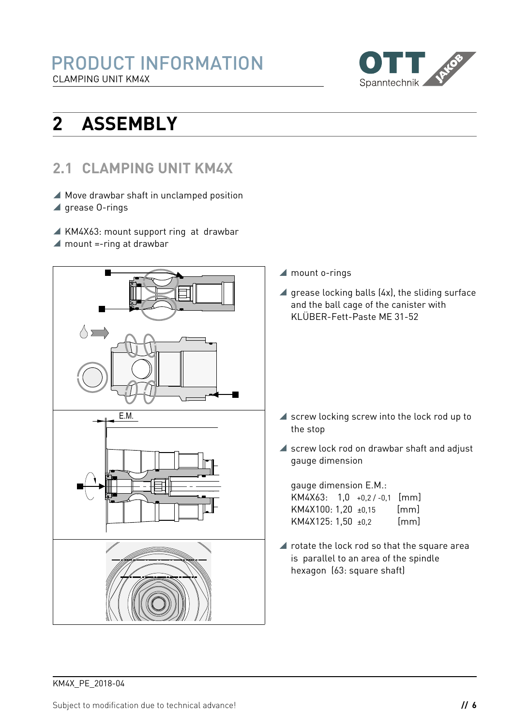

# **2 ASSEMBLY**

## <span id="page-5-0"></span>**2.1 CLAMPING UNIT KM4X**

- Move drawbar shaft in unclamped position
- $\blacktriangle$  grease 0-rings
- KM4X63: mount support ring at drawbar
- $\blacktriangle$  mount =-ring at drawbar



- ▲ mount o-rings
- $\blacktriangle$  grease locking balls (4x), the sliding surface and the ball cage of the canister with KLÜBER-Fett-Paste ME 31-52

- $\blacktriangle$  screw locking screw into the lock rod up to the stop
- ▲ screw lock rod on drawbar shaft and adjust gauge dimension

gauge dimension E.M.: KM4X63: 1,0 +0,2 / -0,1 [mm] KM4X100: 1,20 ±0,15 [mm] KM4X125: 1,50 ±0,2 [mm]

■ rotate the lock rod so that the square area is parallel to an area of the spindle hexagon (63: square shaft)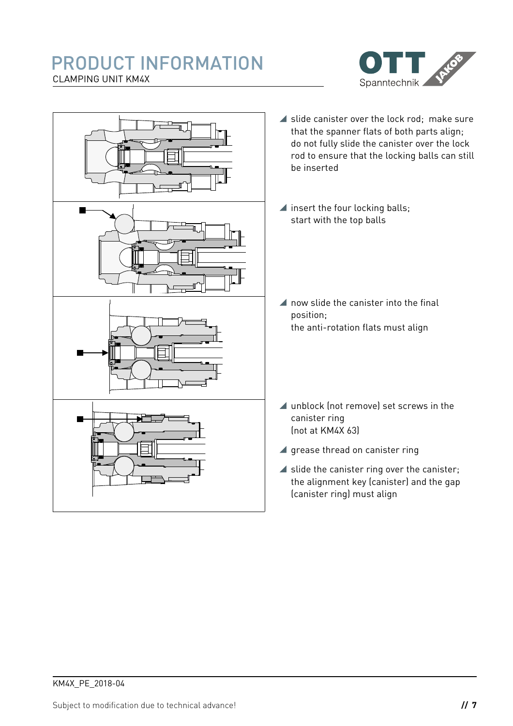#### PRODUCT INFORMATION CLAMPING UNIT KM4X



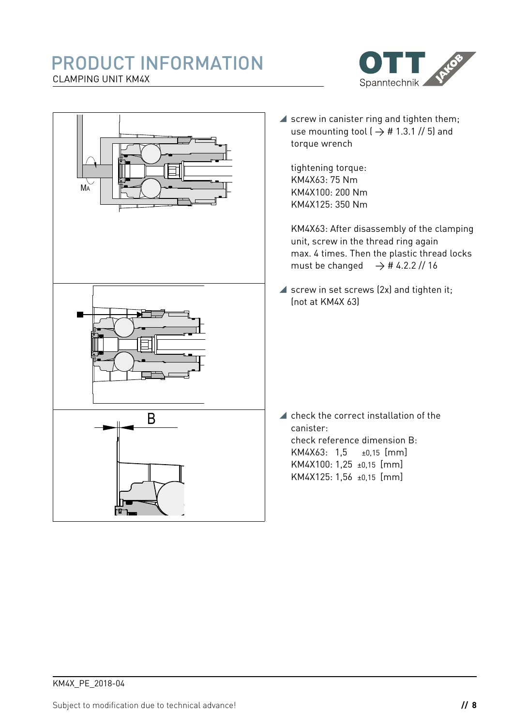#### PRODUCT INFORMATION CLAMPING UNIT KM4X



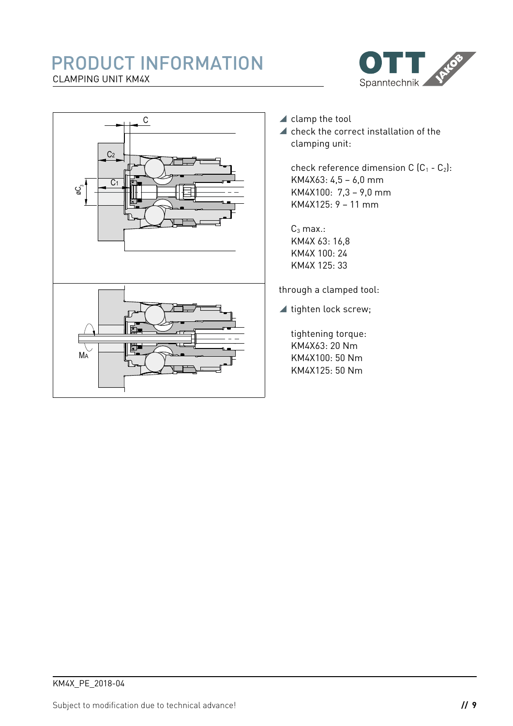#### PRODUCT INFORMATION CLAMPING UNIT KM4X





- ▲ clamp the tool
- $\blacktriangle$  check the correct installation of the clamping unit:

check reference dimension C  $(C_1 - C_2)$ : KM4X63: 4,5 – 6,0 mm KM4X100: 7,3 – 9,0 mm KM4X125: 9 – 11 mm

 $C_3$  max.: KM4X 63: 16,8 KM4X 100: 24 KM4X 125: 33

through a clamped tool:

▲ tighten lock screw;

tightening torque: KM4X63: 20 Nm KM4X100: 50 Nm KM4X125: 50 Nm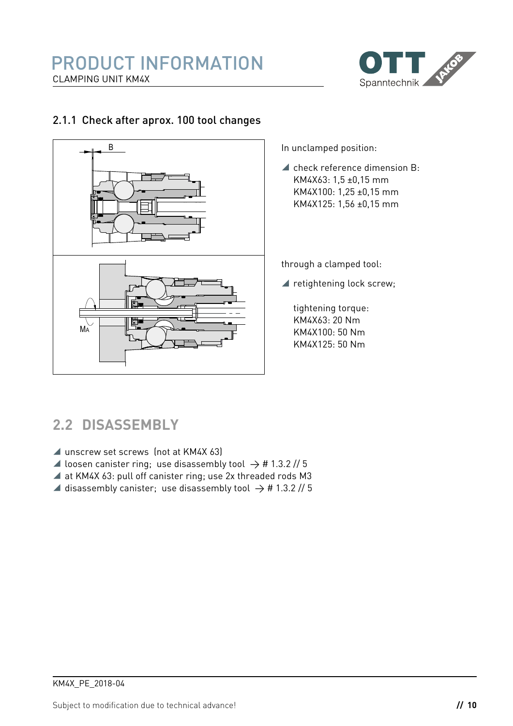

#### 2.1.1 Check after aprox. 100 tool changes



In unclamped position:

 $\blacktriangle$  check reference dimension B: KM4X63: 1,5 ±0,15 mm KM4X100: 1,25 ±0,15 mm KM4X125: 1,56 ±0,15 mm

through a clamped tool:

▲ retightening lock screw;

tightening torque: KM4X63: 20 Nm KM4X100: 50 Nm KM4X125: 50 Nm

## **2.2 DISASSEMBLY**

- ▲ unscrew set screws (not at KM4X 63)
- $\blacktriangle$  loosen canister ring; use disassembly tool  $\rightarrow$  # [1.3.2](#page-4-1) // 5
- at KM4X 63: pull off canister ring; use 2x threaded rods M3
- $\blacktriangle$  disassembly canister; use disassembly tool  $\rightarrow$  # [1.3.2](#page-4-1) // 5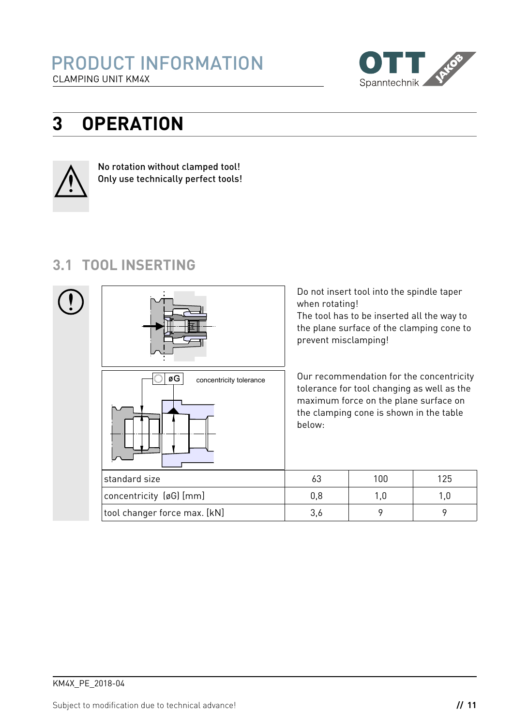

## **3 OPERATION**



No rotation without clamped tool! Only use technically perfect tools!

## **3.1 TOOL INSERTING**

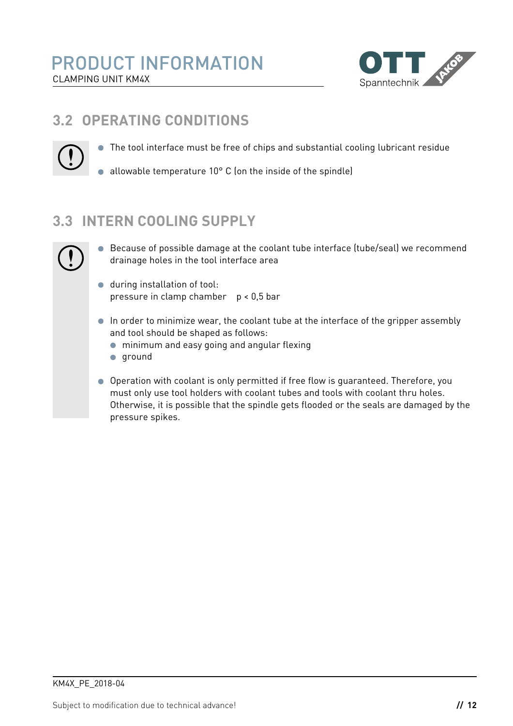

## **3.2 OPERATING CONDITIONS**



● The tool interface must be free of chips and substantial cooling lubricant residue

• allowable temperature  $10^{\circ}$  C (on the inside of the spindle)

## **3.3 INTERN COOLING SUPPLY**



- Because of possible damage at the coolant tube interface (tube/seal) we recommend  $\bullet$ drainage holes in the tool interface area
- **during installation of tool:** pressure in clamp chamber p < 0,5 bar
- In order to minimize wear, the coolant tube at the interface of the gripper assembly and tool should be shaped as follows:
	- minimum and easy going and angular flexing
	- $q$ round
- Operation with coolant is only permitted if free flow is guaranteed. Therefore, you must only use tool holders with coolant tubes and tools with coolant thru holes. Otherwise, it is possible that the spindle gets flooded or the seals are damaged by the pressure spikes.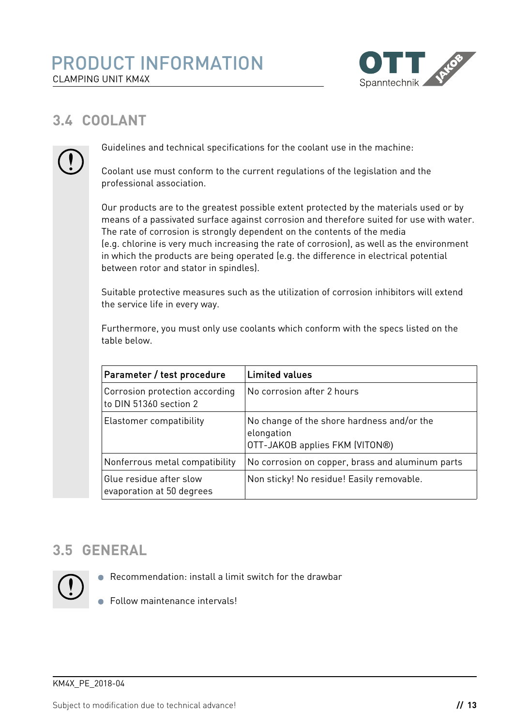

## **3.4 COOLANT**



Guidelines and technical specifications for the coolant use in the machine:

Coolant use must conform to the current regulations of the legislation and the professional association.

Our products are to the greatest possible extent protected by the materials used or by means of a passivated surface against corrosion and therefore suited for use with water. The rate of corrosion is strongly dependent on the contents of the media (e.g. chlorine is very much increasing the rate of corrosion), as well as the environment in which the products are being operated (e.g. the difference in electrical potential between rotor and stator in spindles).

Suitable protective measures such as the utilization of corrosion inhibitors will extend the service life in every way.

Furthermore, you must only use coolants which conform with the specs listed on the table below.

| Parameter / test procedure                               | <b>Limited values</b>                                                                      |
|----------------------------------------------------------|--------------------------------------------------------------------------------------------|
| Corrosion protection according<br>to DIN 51360 section 2 | No corrosion after 2 hours                                                                 |
| Elastomer compatibility                                  | No change of the shore hardness and/or the<br>elongation<br>OTT-JAKOB applies FKM (VITON®) |
| Nonferrous metal compatibility                           | No corrosion on copper, brass and aluminum parts                                           |
| Glue residue after slow<br>evaporation at 50 degrees     | Non sticky! No residue! Easily removable.                                                  |

## **3.5 GENERAL**



- Recommendation: install a limit switch for the drawbar
- Follow maintenance intervals!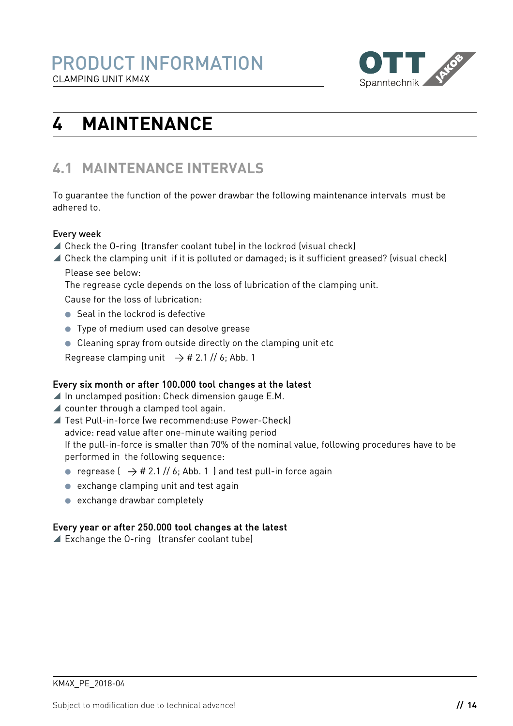

# **4 MAINTENANCE**

## **4.1 MAINTENANCE INTERVALS**

To guarantee the function of the power drawbar the following maintenance intervals must be adhered to.

#### Every week

- Check the O-ring (transfer coolant tube) in the lockrod (visual check)
- Check the clamping unit if it is polluted or damaged; is it sufficient greased? (visual check) Please see below:

The regrease cycle depends on the loss of lubrication of the clamping unit.

Cause for the loss of lubrication:

- Seal in the lockrod is defective
- **•** Type of medium used can desolve grease
- Cleaning spray from outside directly on the clamping unit etc

Regrease clamping unit  $\rightarrow$  # [2.1](#page-5-0) // [6;](#page-5-0) Abb. 1

#### Every six month or after 100.000 tool changes at the latest

- $\blacktriangle$  In unclamped position: Check dimension gauge E.M.
- counter through a clamped tool again.
- Test Pull-in-force (we recommend:use Power-Check) advice: read value after one-minute waiting period If the pull-in-force is smaller than 70% of the nominal value, following procedures have to be performed in the following sequence:
	- regrease  $($   $\rightarrow$  # [2.1](#page-5-0) // [6;](#page-5-0) Abb. 1 ) and test pull-in force again
	- exchange clamping unit and test again
	- exchange drawbar completely

#### Every year or after 250.000 tool changes at the latest

Exchange the O-ring (transfer coolant tube)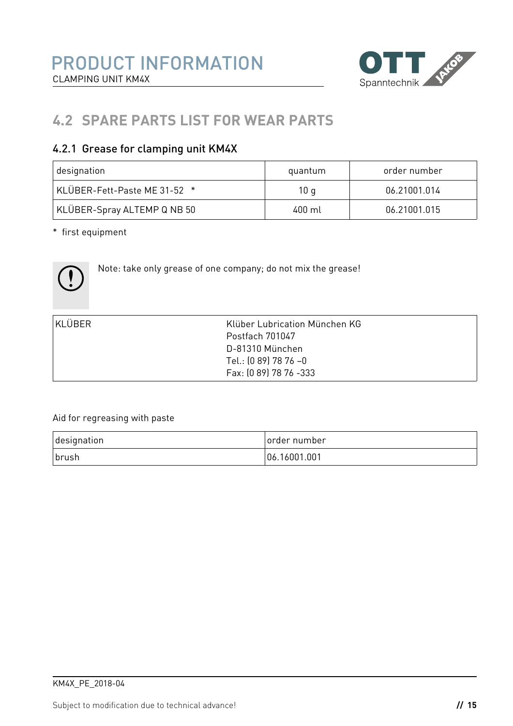

## **4.2 SPARE PARTS LIST FOR WEAR PARTS**

#### 4.2.1 Grease for clamping unit KM4X

| designation                  | quantum          | order number |
|------------------------------|------------------|--------------|
| KLÜBER-Fett-Paste ME 31-52 * | 10 q             | 06.21001.014 |
| KLÜBER-Spray ALTEMP Q NB 50  | $400 \mathrm{m}$ | 06.21001.015 |

\* first equipment



Note: take only grease of one company; do not mix the grease!

| KLÜBER | Klüber Lubrication München KG |  |
|--------|-------------------------------|--|
|        | Postfach 701047               |  |
|        | D-81310 München               |  |
|        | Tel.: (0 89) 78 76 -0         |  |
|        | Fax: (0 89) 78 76 -333        |  |

#### Aid for regreasing with paste

| designation | Torder number |
|-------------|---------------|
| brush       | 06.16001.001  |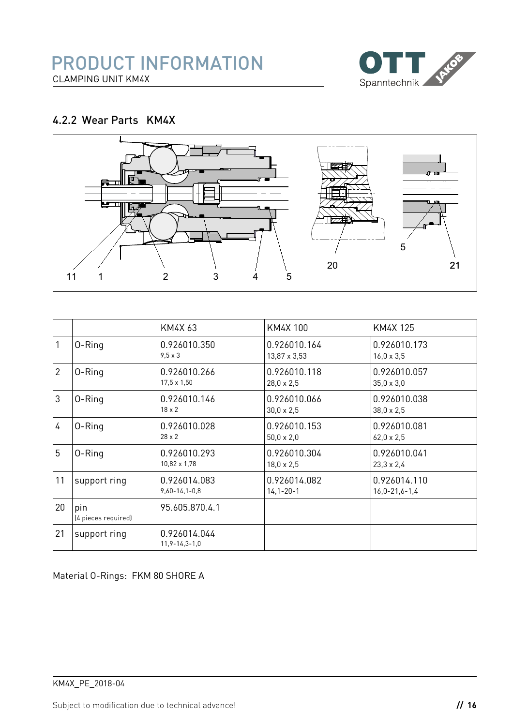

#### <span id="page-15-0"></span>4.2.2 Wear Parts KM4X



|                |                            | KM4X 63                             | KM4X 100                          | KM4X 125                            |
|----------------|----------------------------|-------------------------------------|-----------------------------------|-------------------------------------|
|                | 0-Ring                     | 0.926010.350<br>$9,5 \times 3$      | 0.926010.164<br>13,87 x 3,53      | 0.926010.173<br>$16,0 \times 3,5$   |
| $\overline{2}$ | 0-Ring                     | 0.926010.266<br>17,5 x 1,50         | 0.926010.118<br>$28,0 \times 2,5$ | 0.926010.057<br>$35.0 \times 3.0$   |
| 3              | 0-Ring                     | 0.926010.146<br>$18 \times 2$       | 0.926010.066<br>$30,0 \times 2,5$ | 0.926010.038<br>$38.0 \times 2.5$   |
| 4              | 0-Ring                     | 0.926010.028<br>$28 \times 2$       | 0.926010.153<br>$50,0 \times 2,0$ | 0.926010.081<br>$62,0 \times 2,5$   |
| 5              | 0-Ring                     | 0.926010.293<br>10,82 x 1,78        | 0.926010.304<br>$18,0 \times 2,5$ | 0.926010.041<br>$23,3 \times 2,4$   |
| 11             | support ring               | 0.926014.083<br>$9,60 - 14,1 - 0,8$ | 0.926014.082<br>$14, 1 - 20 - 1$  | 0.926014.110<br>$16.0 - 21.6 - 1.4$ |
| 20             | pin<br>(4 pieces required) | 95.605.870.4.1                      |                                   |                                     |
| 21             | support ring               | 0.926014.044<br>$11,9 - 14,3 - 1,0$ |                                   |                                     |

Material O-Rings: FKM 80 SHORE A